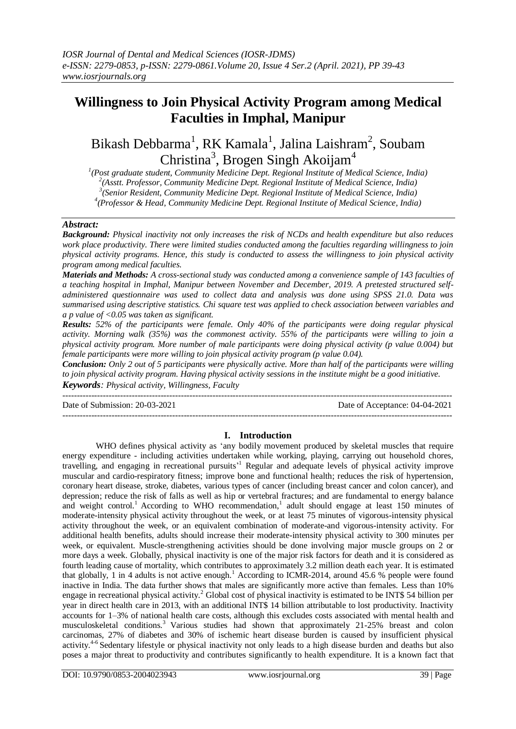# **Willingness to Join Physical Activity Program among Medical Faculties in Imphal, Manipur**

Bikash Debbarma<sup>1</sup>, RK Kamala<sup>1</sup>, Jalina Laishram<sup>2</sup>, Soubam Christina<sup>3</sup>, Brogen Singh Akoijam<sup>4</sup>

 *(Post graduate student, Community Medicine Dept. Regional Institute of Medical Science, India) (Asstt. Professor, Community Medicine Dept. Regional Institute of Medical Science, India) (Senior Resident, Community Medicine Dept. Regional Institute of Medical Science, India) (Professor & Head, Community Medicine Dept. Regional Institute of Medical Science, India)*

### *Abstract:*

*Background: Physical inactivity not only increases the risk of NCDs and health expenditure but also reduces work place productivity. There were limited studies conducted among the faculties regarding willingness to join physical activity programs. Hence, this study is conducted to assess the willingness to join physical activity program among medical faculties.*

*Materials and Methods: A cross-sectional study was conducted among a convenience sample of 143 faculties of a teaching hospital in Imphal, Manipur between November and December, 2019. A pretested structured selfadministered questionnaire was used to collect data and analysis was done using SPSS 21.0. Data was summarised using descriptive statistics. Chi square test was applied to check association between variables and a p value of <0.05 was taken as significant.*

*Results: 52% of the participants were female. Only 40% of the participants were doing regular physical activity. Morning walk (35%) was the commonest activity. 55% of the participants were willing to join a physical activity program. More number of male participants were doing physical activity (p value 0.004) but female participants were more willing to join physical activity program (p value 0.04).* 

*Conclusion: Only 2 out of 5 participants were physically active. More than half of the participants were willing to join physical activity program. Having physical activity sessions in the institute might be a good initiative. Keywords: Physical activity, Willingness, Faculty*

--------------------------------------------------------------------------------------------------------------------------------------- Date of Submission: 20-03-2021 Date of Acceptance: 04-04-2021 ---------------------------------------------------------------------------------------------------------------------------------------

# **I. Introduction**

WHO defines physical activity as 'any bodily movement produced by skeletal muscles that require energy expenditure - including activities undertaken while working, playing, carrying out household chores, travelling, and engaging in recreational pursuits' <sup>1</sup> Regular and adequate levels of physical activity improve muscular and cardio-respiratory fitness; improve bone and functional health; reduces the risk of hypertension, coronary heart disease, stroke, diabetes, various types of cancer (including breast cancer and colon cancer), and depression; reduce the risk of falls as well as hip or vertebral fractures; and are fundamental to energy balance and weight control.<sup>1</sup> According to WHO recommendation,<sup>1</sup> adult should engage at least 150 minutes of moderate-intensity physical activity throughout the week, or at least 75 minutes of vigorous-intensity physical activity throughout the week, or an equivalent combination of moderate-and vigorous-intensity activity. For additional health benefits, adults should increase their moderate-intensity physical activity to 300 minutes per week, or equivalent. Muscle-strengthening activities should be done involving major muscle groups on 2 or more days a week. Globally, physical inactivity is one of the major risk factors for death and it is considered as fourth leading cause of mortality, which contributes to approximately 3.2 million death each year. It is estimated that globally, 1 in 4 adults is not active enough.<sup>1</sup> According to ICMR-2014, around 45.6 % people were found inactive in India. The data further shows that males are significantly more active than females. Less than 10% engage in recreational physical activity.<sup>2</sup> Global cost of physical inactivity is estimated to be INT\$ 54 billion per year in direct health care in 2013, with an additional INT\$ 14 billion attributable to lost productivity. Inactivity accounts for 1–3% of national health care costs, although this excludes costs associated with mental health and musculoskeletal conditions.<sup>3</sup>Various studies had shown that approximately 21-25% breast and colon carcinomas, 27% of diabetes and 30% of ischemic heart disease burden is caused by insufficient physical activity.<sup>4-6</sup> Sedentary lifestyle or physical inactivity not only leads to a high disease burden and deaths but also poses a major threat to productivity and contributes significantly to health expenditure. It is a known fact that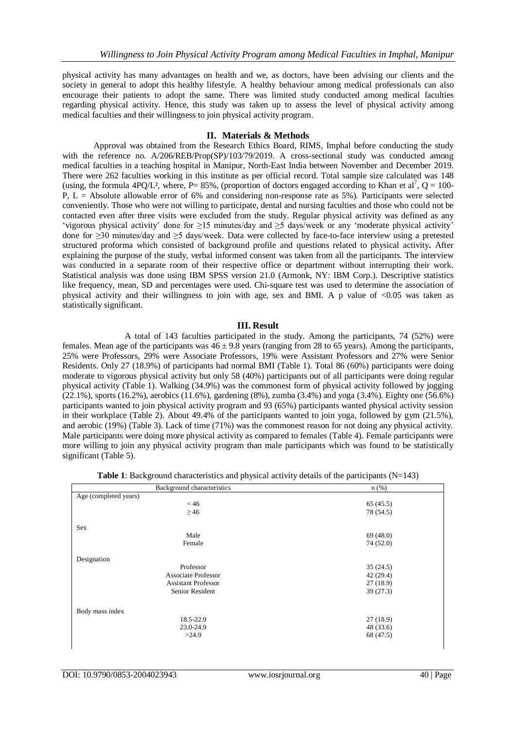physical activity has many advantages on health and we, as doctors, have been advising our clients and the society in general to adopt this healthy lifestyle. A healthy behaviour among medical professionals can also encourage their patients to adopt the same. There was limited study conducted among medical faculties regarding physical activity. Hence, this study was taken up to assess the level of physical activity among medical faculties and their willingness to join physical activity program.

### **II. Materials & Methods**

Approval was obtained from the Research Ethics Board, RIMS, Imphal before conducting the study with the reference no. A/206/REB/Prop(SP)/103/79/2019. A cross-sectional study was conducted among medical faculties in a teaching hospital in Manipur, North-East India between November and December 2019. There were 262 faculties working in this institute as per official record. Total sample size calculated was 148 (using, the formula 4PQ/L<sup>2</sup>, where, P= 85%, (proportion of doctors engaged according to Khan et al<sup>7</sup>, Q = 100-P,  $L =$  Absolute allowable error of 6% and considering non-response rate as 5%). Participants were selected conveniently. Those who were not willing to participate, dental and nursing faculties and those who could not be contacted even after three visits were excluded from the study. Regular physical activity was defined as any 'vigorous physical activity' done for ≥15 minutes/day and ≥5 days/week or any 'moderate physical activity' done for ≥30 minutes/day and ≥5 days/week. Data were collected by face-to-face interview using a pretested structured proforma which consisted of background profile and questions related to physical activity**.** After explaining the purpose of the study, verbal informed consent was taken from all the participants. The interview was conducted in a separate room of their respective office or department without interrupting their work. Statistical analysis was done using IBM SPSS version 21.0 (Armonk, NY: IBM Corp.). Descriptive statistics like frequency, mean, SD and percentages were used. Chi-square test was used to determine the association of physical activity and their willingness to join with age, sex and BMI. A p value of <0.05 was taken as statistically significant.

# **III. Result**

A total of 143 faculties participated in the study. Among the participants, 74 (52%) were females. Mean age of the participants was  $46 \pm 9.8$  years (ranging from 28 to 65 years). Among the participants, 25% were Professors, 29% were Associate Professors, 19% were Assistant Professors and 27% were Senior Residents. Only 27 (18.9%) of participants had normal BMI (Table 1). Total 86 (60%) participants were doing moderate to vigorous physical activity but only 58 (40%) participants out of all participants were doing regular physical activity (Table 1). Walking (34.9%) was the commonest form of physical activity followed by jogging (22.1%), sports (16.2%), aerobics (11.6%), gardening (8%), zumba (3.4%) and yoga (3.4%). Eighty one (56.6%) participants wanted to join physical activity program and 93 (65%) participants wanted physical activity session in their workplace (Table 2). About 49.4% of the participants wanted to join yoga, followed by gym (21.5%), and aerobic (19%) (Table 3). Lack of time (71%) was the commonest reason for not doing any physical activity. Male participants were doing more physical activity as compared to females (Table 4). Female participants were more willing to join any physical activity program than male participants which was found to be statistically significant (Table 5).

| <b>Table 1:</b> Background characteristics and physical activity details of the participants $(N=143)$ |  |  |
|--------------------------------------------------------------------------------------------------------|--|--|
|                                                                                                        |  |  |

| Background characteristics | $n$ (%)   |
|----------------------------|-----------|
| Age (completed years)      |           |
| < 46                       | 65(45.5)  |
| $\geq$ 46                  | 78 (54.5) |
| <b>Sex</b>                 |           |
| Male                       | 69(48.0)  |
| Female                     | 74 (52.0) |
| Designation                |           |
| Professor                  | 35(24.5)  |
| <b>Associate Professor</b> | 42(29.4)  |
| <b>Assistant Professor</b> | 27(18.9)  |
| Senior Resident            | 39(27.3)  |
| Body mass index            |           |
| 18.5-22.9                  | 27(18.9)  |
| 23.0-24.9                  | 48 (33.6) |
| >24.9                      | 68 (47.5) |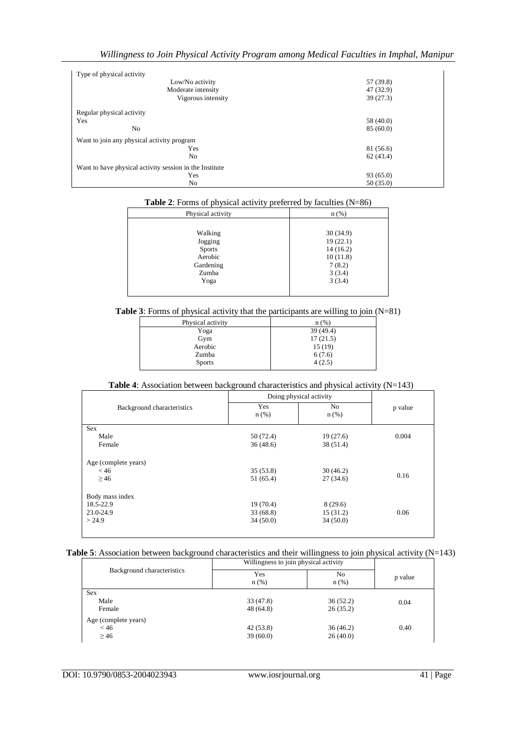| Willingness to Join Physical Activity Program among Medical Faculties in Imphal, Manipur |  |  |  |
|------------------------------------------------------------------------------------------|--|--|--|
|                                                                                          |  |  |  |

| Type of physical activity                               |           |
|---------------------------------------------------------|-----------|
| Low/No activity                                         | 57 (39.8) |
| Moderate intensity                                      | 47 (32.9) |
| Vigorous intensity                                      | 39(27.3)  |
| Regular physical activity                               |           |
| Yes                                                     | 58 (40.0) |
| N <sub>0</sub>                                          | 85(60.0)  |
| Want to join any physical activity program              |           |
| Yes                                                     | 81 (56.6) |
| No                                                      | 62(43.4)  |
| Want to have physical activity session in the Institute |           |
| Yes                                                     | 93(65.0)  |
| No                                                      | 50(35.0)  |

| Physical activity | $n$ (%)  |
|-------------------|----------|
|                   |          |
| Walking           | 30(34.9) |
| Jogging           | 19(22.1) |
| <b>Sports</b>     | 14(16.2) |
| Aerobic           | 10(11.8) |
| Gardening         | 7(8.2)   |
| Zumba             | 3(3.4)   |
| Yoga              | 3(3.4)   |
|                   |          |

**Table 3**: Forms of physical activity that the participants are willing to join (N=81)

|                   | ~<br>$\ddot{\phantom{0}}$ |
|-------------------|---------------------------|
| Physical activity | n(%)                      |
| Yoga              | 39 (49.4)                 |
| Gym               | 17(21.5)                  |
| Aerobic           | 15(19)                    |
| Zumba             | 6(7.6)                    |
| <b>Sports</b>     | 4(2.5)                    |
|                   |                           |

# **Table 4**: Association between background characteristics and physical activity (N=143)

|                            | Doing physical activity |                |         |
|----------------------------|-------------------------|----------------|---------|
| Background characteristics | Yes<br>$n$ (%)          | No.<br>$n$ (%) | p value |
| <b>Sex</b>                 |                         |                |         |
| Male                       | 50 (72.4)               | 19(27.6)       | 0.004   |
| Female                     | 36(48.6)                | 38 (51.4)      |         |
| Age (complete years)       |                         |                |         |
| < 46                       | 35(53.8)                | 30(46.2)       |         |
| $\geq 46$                  | 51 (65.4)               | 27(34.6)       | 0.16    |
| Body mass index            |                         |                |         |
| 18.5-22.9                  | 19(70.4)                | 8(29.6)        |         |
| 23.0-24.9                  | 33(68.8)                | 15(31.2)       | 0.06    |
| > 24.9                     | 34(50.0)                | 34(50.0)       |         |
|                            |                         |                |         |

# **Table 5**: Association between background characteristics and their willingness to join physical activity (N=143)

| Background characteristics | Willingness to join physical activity |                           |         |
|----------------------------|---------------------------------------|---------------------------|---------|
|                            | Yes<br>$n$ (%)                        | N <sub>0</sub><br>$n$ (%) | p value |
| <b>Sex</b>                 |                                       |                           |         |
| Male                       | 33 (47.8)                             | 36(52.2)                  | 0.04    |
| Female                     | 48(64.8)                              | 26(35.2)                  |         |
| Age (complete years)       |                                       |                           |         |
| < 46                       | 42(53.8)                              | 36(46.2)                  | 0.40    |
| $\geq$ 46                  | 39(60.0)                              | 26(40.0)                  |         |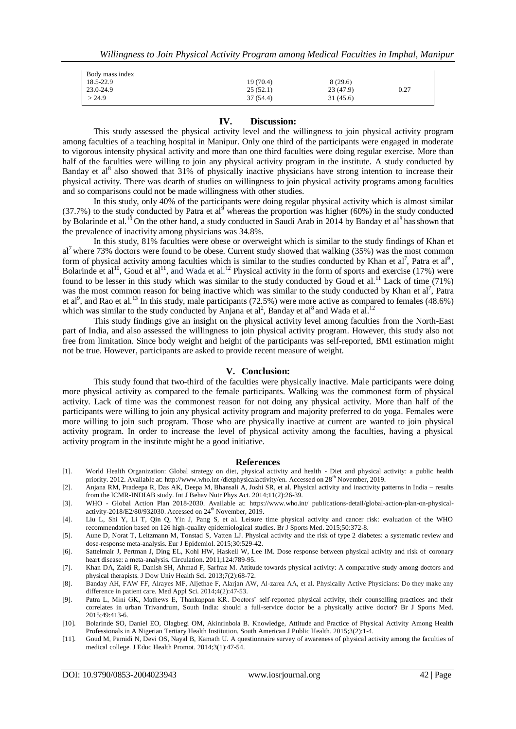| Body mass index |           |           |      |
|-----------------|-----------|-----------|------|
| $18.5 - 22.9$   | 19 (70.4) | 8(29.6)   |      |
| $23.0 - 24.9$   | 25(52.1)  | 23 (47.9) | 0.27 |
| >24.9           | 37 (54.4) | 31 (45.6) |      |

### **IV. Discussion:**

This study assessed the physical activity level and the willingness to join physical activity program among faculties of a teaching hospital in Manipur. Only one third of the participants were engaged in moderate to vigorous intensity physical activity and more than one third faculties were doing regular exercise. More than half of the faculties were willing to join any physical activity program in the institute. A study conducted by Banday et al<sup>8</sup> also showed that 31% of physically inactive physicians have strong intention to increase their physical activity. There was dearth of studies on willingness to join physical activity programs among faculties and so comparisons could not be made willingness with other studies.

In this study, only 40% of the participants were doing regular physical activity which is almost similar  $(37.7%)$  to the study conducted by Patra et al<sup>9</sup> whereas the proportion was higher (60%) in the study conducted by Bolarinde et al.<sup>10</sup> On the other hand, a study conducted in Saudi Arab in 2014 by Banday et al<sup>8</sup> has shown that the prevalence of inactivity among physicians was 34.8%.

In this study, 81% faculties were obese or overweight which is similar to the study findings of Khan et al<sup>7</sup> where 73% doctors were found to be obese. Current study showed that walking (35%) was the most common form of physical activity among faculties which is similar to the studies conducted by Khan et al<sup>7</sup>, Patra et al<sup>9</sup>, Bolarinde et al<sup>10</sup>, Goud et al<sup>11</sup>, and Wada et al.<sup>12</sup> Physical activity in the form of sports and exercise (17%) were found to be lesser in this study which was similar to the study conducted by Goud et al.<sup>11</sup> Lack of time (71%) was the most common reason for being inactive which was similar to the study conducted by Khan et al<sup>7</sup>, Patra et al<sup>9</sup>, and Rao et al.<sup>13</sup> In this study, male participants (72.5%) were more active as compared to females (48.6%) which was similar to the study conducted by Anjana et al<sup>2</sup>, Banday et al<sup>8</sup> and Wada et al.<sup>12</sup>

This study findings give an insight on the physical activity level among faculties from the North-East part of India, and also assessed the willingness to join physical activity program. However, this study also not free from limitation. Since body weight and height of the participants was self-reported, BMI estimation might not be true. However, participants are asked to provide recent measure of weight.

### **V. Conclusion:**

This study found that two-third of the faculties were physically inactive. Male participants were doing more physical activity as compared to the female participants. Walking was the commonest form of physical activity. Lack of time was the commonest reason for not doing any physical activity. More than half of the participants were willing to join any physical activity program and majority preferred to do yoga. Females were more willing to join such program. Those who are physically inactive at current are wanted to join physical activity program. In order to increase the level of physical activity among the faculties, having a physical activity program in the institute might be a good initiative.

#### **References**

- [1]. World Health Organization: Global strategy on diet, physical activity and health Diet and physical activity: a public health priority. 2012. Available at: [http://www.who.int](http://www.who.int/)/dietphysicalactivity/en. Accessed on 28<sup>th</sup> November, 2019.
- [2]. Anjana RM, Pradeepa R, Das AK, Deepa M, Bhansali A, Joshi SR, et al. Physical activity and inactivity patterns in India results from the ICMR-INDIAB study. Int J Behav Nutr Phys Act. 2014;11(2):26-39.
- [3]. WHO Global Action Plan 2018-2030. Available at: [https://www.who.int/ publications-detail/global-action-plan-on-physical](https://www.who.int/%20publications-detail/global-action-plan-on-physical-activity-2018/E2/80/932030)[activity-2018/E2/80/932030](https://www.who.int/%20publications-detail/global-action-plan-on-physical-activity-2018/E2/80/932030). Accessed on 24<sup>th</sup> November, 2019.
- [4]. Liu L, Shi Y, Li T, Qin Q, Yin J, Pang S, et al. Leisure time physical activity and cancer risk: evaluation of the WHO recommendation based on 126 high-quality epidemiological studies. Br J Sports Med. 2015;50:372-8.
- [5]. Aune D, Norat T, Leitzmann M, Tonstad S, Vatten LJ. Physical activity and the risk of type 2 diabetes: a systematic review and dose-response meta-analysis. Eur J Epidemiol. 2015;30:529-42.
- [6]. Sattelmair J, Pertman J, Ding EL, Kohl HW, Haskell W, Lee IM. Dose response between physical activity and risk of coronary heart disease: a meta-analysis. Circulation. 2011;124:789-95.
- [7]. Khan DA, Zaidi R, Danish SH, Ahmad F, Sarfraz M. Attitude towards physical activity: A comparative study among doctors and physical therapists. J Dow Univ Health Sci. 2013;7(2):68-72.
- [8]. Banday AH, FAW FF, Alrayes MF, Aljethae F, Alarjan AW, Al-zarea AA, et al. Physically Active Physicians: Do they make any difference in patient care. Med Appl Sci. 2014;4(2):47-53.
- [9]. Patra L, Mini GK, Mathews E, Thankappan KR. Doctors' self-reported physical activity, their counselling practices and their correlates in urban Trivandrum, South India: should a full-service doctor be a physically active doctor? Br J Sports Med. 2015;49:413-6.
- [10]. Bolarinde SO, Daniel EO, Olagbegi OM, Akinrinbola B. Knowledge, Attitude and Practice of Physical Activity Among Health Professionals in A Nigerian Tertiary Health Institution. South American J Public Health. 2015;3(2):1-4.
- [11]. Goud M, Pamidi N, Devi OS, Nayal B, Kamath U. A questionnaire survey of awareness of physical activity among the faculties of medical college. J Educ Health Promot. 2014;3(1):47-54.